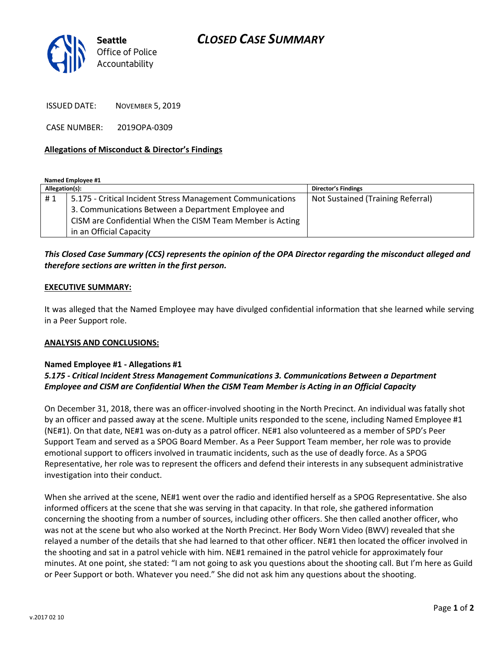

ISSUED DATE: NOVEMBER 5, 2019

CASE NUMBER: 2019OPA-0309

### **Allegations of Misconduct & Director's Findings**

**Named Employee #1**

| Allegation(s): |                                                            | <b>Director's Findings</b>        |
|----------------|------------------------------------------------------------|-----------------------------------|
| #1             | 5.175 - Critical Incident Stress Management Communications | Not Sustained (Training Referral) |
|                | 3. Communications Between a Department Employee and        |                                   |
|                | CISM are Confidential When the CISM Team Member is Acting  |                                   |
|                | in an Official Capacity                                    |                                   |

## *This Closed Case Summary (CCS) represents the opinion of the OPA Director regarding the misconduct alleged and therefore sections are written in the first person.*

#### **EXECUTIVE SUMMARY:**

It was alleged that the Named Employee may have divulged confidential information that she learned while serving in a Peer Support role.

#### **ANALYSIS AND CONCLUSIONS:**

#### **Named Employee #1 - Allegations #1**

## *5.175 - Critical Incident Stress Management Communications 3. Communications Between a Department Employee and CISM are Confidential When the CISM Team Member is Acting in an Official Capacity*

On December 31, 2018, there was an officer-involved shooting in the North Precinct. An individual was fatally shot by an officer and passed away at the scene. Multiple units responded to the scene, including Named Employee #1 (NE#1). On that date, NE#1 was on-duty as a patrol officer. NE#1 also volunteered as a member of SPD's Peer Support Team and served as a SPOG Board Member. As a Peer Support Team member, her role was to provide emotional support to officers involved in traumatic incidents, such as the use of deadly force. As a SPOG Representative, her role was to represent the officers and defend their interests in any subsequent administrative investigation into their conduct.

When she arrived at the scene, NE#1 went over the radio and identified herself as a SPOG Representative. She also informed officers at the scene that she was serving in that capacity. In that role, she gathered information concerning the shooting from a number of sources, including other officers. She then called another officer, who was not at the scene but who also worked at the North Precinct. Her Body Worn Video (BWV) revealed that she relayed a number of the details that she had learned to that other officer. NE#1 then located the officer involved in the shooting and sat in a patrol vehicle with him. NE#1 remained in the patrol vehicle for approximately four minutes. At one point, she stated: "I am not going to ask you questions about the shooting call. But I'm here as Guild or Peer Support or both. Whatever you need." She did not ask him any questions about the shooting.